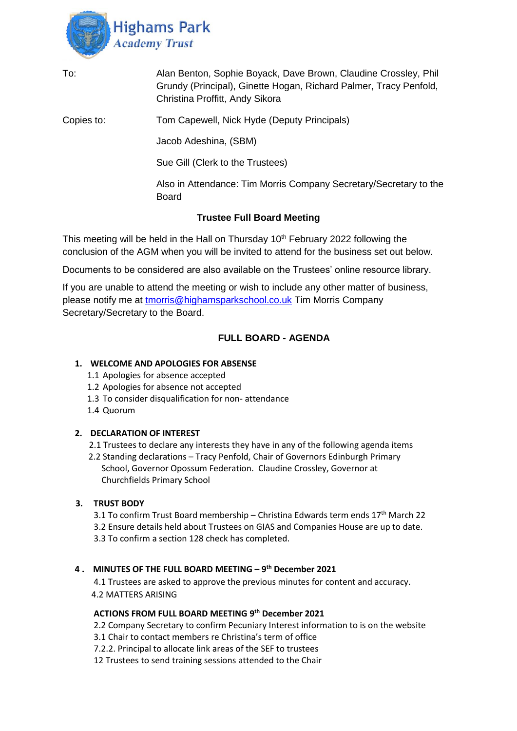

| To:        | Alan Benton, Sophie Boyack, Dave Brown, Claudine Crossley, Phil<br>Grundy (Principal), Ginette Hogan, Richard Palmer, Tracy Penfold,<br>Christina Proffitt, Andy Sikora |
|------------|-------------------------------------------------------------------------------------------------------------------------------------------------------------------------|
| Copies to: | Tom Capewell, Nick Hyde (Deputy Principals)                                                                                                                             |
|            | Jacob Adeshina, (SBM)                                                                                                                                                   |
|            | Sue Gill (Clerk to the Trustees)                                                                                                                                        |
|            | Also in Attendance: Tim Morris Company Secretary/Secretary to the<br><b>Board</b>                                                                                       |
|            |                                                                                                                                                                         |

# **Trustee Full Board Meeting**

This meeting will be held in the Hall on Thursday 10<sup>th</sup> February 2022 following the conclusion of the AGM when you will be invited to attend for the business set out below.

Documents to be considered are also available on the Trustees' online resource library.

If you are unable to attend the meeting or wish to include any other matter of business, please notify me at [tmorris@highamsparkschool.co.uk](mailto:tmorris@highamsparkschool.co.uk) Tim Morris Company Secretary/Secretary to the Board.

# **FULL BOARD - AGENDA**

### **1. WELCOME AND APOLOGIES FOR ABSENSE**

- 1.1 Apologies for absence accepted
- 1.2 Apologies for absence not accepted
- 1.3 To consider disqualification for non- attendance
- 1.4 Quorum

### **2. DECLARATION OF INTEREST**

2.1 Trustees to declare any interests they have in any of the following agenda items

 2.2 Standing declarations – Tracy Penfold, Chair of Governors Edinburgh Primary School, Governor Opossum Federation. Claudine Crossley, Governor at Churchfields Primary School

# **3. TRUST BODY**

3.1 To confirm Trust Board membership – Christina Edwards term ends  $17<sup>th</sup>$  March 22 3.2 Ensure details held about Trustees on GIAS and Companies House are up to date. 3.3 To confirm a section 128 check has completed.

# **4 . MINUTES OF THE FULL BOARD MEETING – 9 th December 2021**

4.1 Trustees are asked to approve the previous minutes for content and accuracy. 4.2 MATTERS ARISING

### **ACTIONS FROM FULL BOARD MEETING 9 th December 2021**

2.2 Company Secretary to confirm Pecuniary Interest information to is on the website

3.1 Chair to contact members re Christina's term of office

7.2.2. Principal to allocate link areas of the SEF to trustees

12 Trustees to send training sessions attended to the Chair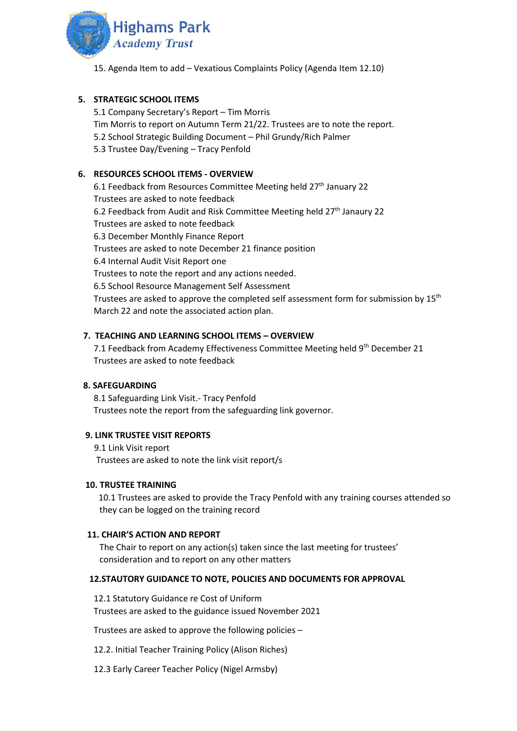

15. Agenda Item to add – Vexatious Complaints Policy (Agenda Item 12.10)

### **5. STRATEGIC SCHOOL ITEMS**

5.1 Company Secretary's Report – Tim Morris Tim Morris to report on Autumn Term 21/22. Trustees are to note the report. 5.2 School Strategic Building Document – Phil Grundy/Rich Palmer 5.3 Trustee Day/Evening – Tracy Penfold

### **6. RESOURCES SCHOOL ITEMS - OVERVIEW**

6.1 Feedback from Resources Committee Meeting held 27th January 22 Trustees are asked to note feedback 6.2 Feedback from Audit and Risk Committee Meeting held 27<sup>th</sup> Janaury 22 Trustees are asked to note feedback 6.3 December Monthly Finance Report Trustees are asked to note December 21 finance position 6.4 Internal Audit Visit Report one Trustees to note the report and any actions needed. 6.5 School Resource Management Self Assessment Trustees are asked to approve the completed self assessment form for submission by 15<sup>th</sup> March 22 and note the associated action plan.

### **7. TEACHING AND LEARNING SCHOOL ITEMS – OVERVIEW**

7.1 Feedback from Academy Effectiveness Committee Meeting held 9th December 21 Trustees are asked to note feedback

### **8. SAFEGUARDING**

8.1 Safeguarding Link Visit.- Tracy Penfold Trustees note the report from the safeguarding link governor.

### **9. LINK TRUSTEE VISIT REPORTS**

 9.1 Link Visit report Trustees are asked to note the link visit report/s

#### **10. TRUSTEE TRAINING**

 10.1 Trustees are asked to provide the Tracy Penfold with any training courses attended so they can be logged on the training record

#### **11. CHAIR'S ACTION AND REPORT**

The Chair to report on any action(s) taken since the last meeting for trustees' consideration and to report on any other matters

### **12.STAUTORY GUIDANCE TO NOTE, POLICIES AND DOCUMENTS FOR APPROVAL**

12.1 Statutory Guidance re Cost of Uniform Trustees are asked to the guidance issued November 2021

Trustees are asked to approve the following policies –

12.2. Initial Teacher Training Policy (Alison Riches)

12.3 Early Career Teacher Policy (Nigel Armsby)